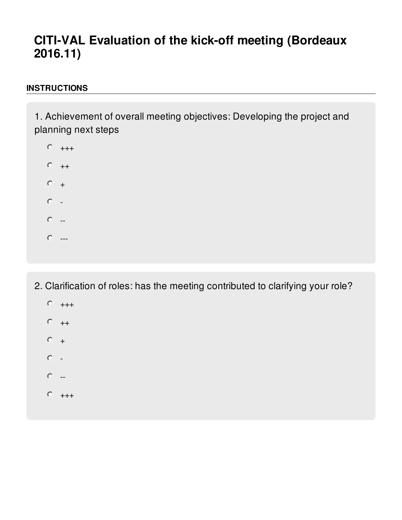## **CITI-VAL Evaluation of the kick-off meeting (Bordeaux 2016.11)**

## **INSTRUCTIONS**

1. Achievement of overall meeting objectives: Developing the project and planning next steps

- $\circ$  +++  $\circ$  ++  $\circ$  +  $\circ$  - $\circ$  --
- $\circ$  ---
- 2. Clarification of roles: has the meeting contributed to clarifying your role?
	- $O_{+++}$
	- $\circ$  ++
	- $\circ$  +
	- $\circ$  -
	- $\circ$  --
	- $O_{+++}$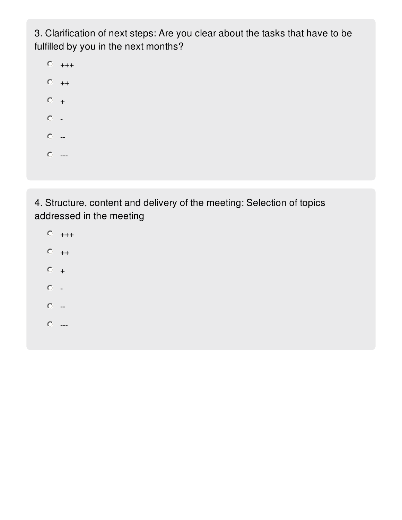3. Clarification of next steps: Are you clear about the tasks that have to be fulfilled by you in the next months?

 $O_{++++}$  $\circ$  ++  $\circ$  +  $\circ$  - $\circ$  -- $\circledcirc$  ---

4. Structure, content and delivery of the meeting: Selection of topics addressed in the meeting

 $O_{++++}$  $\circ$  ++  $\circ$  +  $\circ$  - $\circ$  -- $\circ$  ---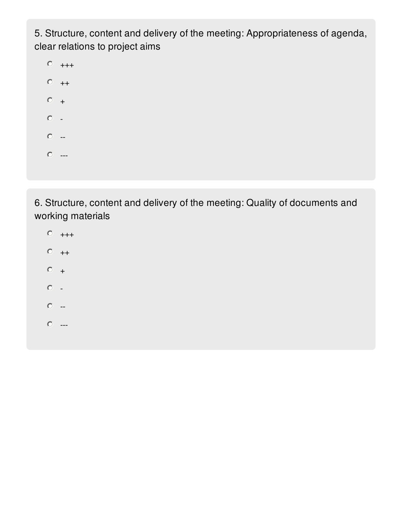5. Structure, content and delivery of the meeting: Appropriateness of agenda, clear relations to project aims

 $O_{++++}$  $\circ$  ++  $\circ$  +  $\circ$  - $\circ$  -- $\circledcirc$  ---

6. Structure, content and delivery of the meeting: Quality of documents and working materials

- $O_{++++}$  $\circ$  ++  $\circ$  +  $\circ$  - $\circ$  --
- $\circ$  ---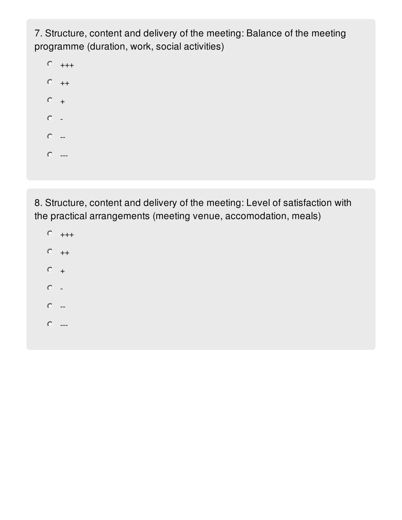7. Structure, content and delivery of the meeting: Balance of the meeting programme (duration, work, social activities)

 $\circ$  +++  $\circ$  ++  $\circ$  +  $\circ$  - $\circ$  -- $\circ$  ---

8. Structure, content and delivery of the meeting: Level of satisfaction with the practical arrangements (meeting venue, accomodation, meals)

- $O_{+++}$  $\circ$  ++  $\circ$  +  $\circ$  - $\circ$  --
- $\circledcirc$  ---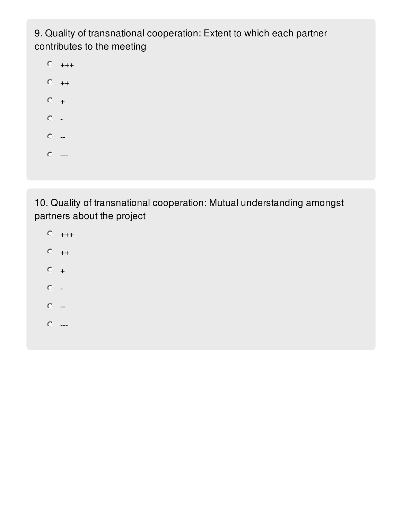9. Quality of transnational cooperation: Extent to which each partner contributes to the meeting

 $O_{++++}$  $\circ$  ++  $\circ$  +  $\circ$  - $\circ$  -- $\circledcirc$  ---

10. Quality of transnational cooperation: Mutual understanding amongst partners about the project

 $O_{++++}$  $\circ$  ++  $\circ$  +  $\circ$  - $\circ$  -- $\circ$  ---